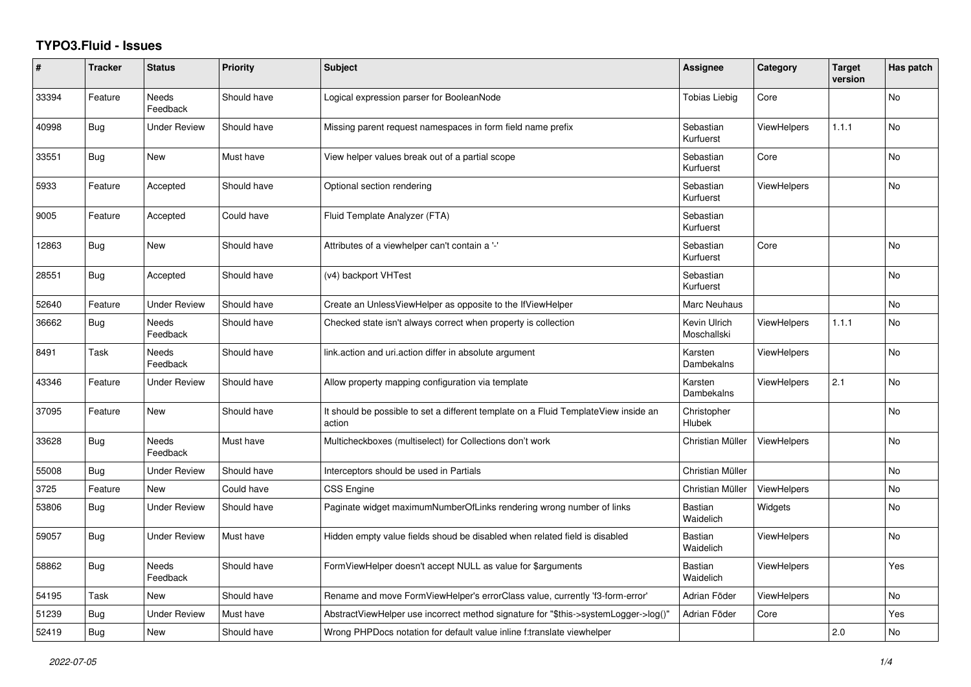## **TYPO3.Fluid - Issues**

| #     | <b>Tracker</b> | <b>Status</b>            | <b>Priority</b> | <b>Subject</b>                                                                                | Assignee                    | Category           | <b>Target</b><br>version | Has patch      |
|-------|----------------|--------------------------|-----------------|-----------------------------------------------------------------------------------------------|-----------------------------|--------------------|--------------------------|----------------|
| 33394 | Feature        | Needs<br>Feedback        | Should have     | Logical expression parser for BooleanNode                                                     | <b>Tobias Liebig</b>        | Core               |                          | No             |
| 40998 | Bug            | <b>Under Review</b>      | Should have     | Missing parent request namespaces in form field name prefix                                   | Sebastian<br>Kurfuerst      | <b>ViewHelpers</b> | 1.1.1                    | N <sub>o</sub> |
| 33551 | <b>Bug</b>     | New                      | Must have       | View helper values break out of a partial scope                                               | Sebastian<br>Kurfuerst      | Core               |                          | <b>No</b>      |
| 5933  | Feature        | Accepted                 | Should have     | Optional section rendering                                                                    | Sebastian<br>Kurfuerst      | <b>ViewHelpers</b> |                          | No             |
| 9005  | Feature        | Accepted                 | Could have      | Fluid Template Analyzer (FTA)                                                                 | Sebastian<br>Kurfuerst      |                    |                          |                |
| 12863 | <b>Bug</b>     | <b>New</b>               | Should have     | Attributes of a viewhelper can't contain a '-'                                                | Sebastian<br>Kurfuerst      | Core               |                          | <b>No</b>      |
| 28551 | <b>Bug</b>     | Accepted                 | Should have     | (v4) backport VHTest                                                                          | Sebastian<br>Kurfuerst      |                    |                          | <b>No</b>      |
| 52640 | Feature        | <b>Under Review</b>      | Should have     | Create an UnlessViewHelper as opposite to the IfViewHelper                                    | Marc Neuhaus                |                    |                          | No             |
| 36662 | <b>Bug</b>     | <b>Needs</b><br>Feedback | Should have     | Checked state isn't always correct when property is collection                                | Kevin Ulrich<br>Moschallski | <b>ViewHelpers</b> | 1.1.1                    | <b>No</b>      |
| 8491  | Task           | Needs<br>Feedback        | Should have     | link.action and uri.action differ in absolute argument                                        | Karsten<br>Dambekalns       | <b>ViewHelpers</b> |                          | No             |
| 43346 | Feature        | <b>Under Review</b>      | Should have     | Allow property mapping configuration via template                                             | Karsten<br>Dambekalns       | <b>ViewHelpers</b> | 2.1                      | No             |
| 37095 | Feature        | <b>New</b>               | Should have     | It should be possible to set a different template on a Fluid TemplateView inside an<br>action | Christopher<br>Hlubek       |                    |                          | <b>No</b>      |
| 33628 | <b>Bug</b>     | <b>Needs</b><br>Feedback | Must have       | Multicheckboxes (multiselect) for Collections don't work                                      | Christian Müller            | <b>ViewHelpers</b> |                          | <b>No</b>      |
| 55008 | Bug            | <b>Under Review</b>      | Should have     | Interceptors should be used in Partials                                                       | Christian Müller            |                    |                          | No             |
| 3725  | Feature        | <b>New</b>               | Could have      | CSS Engine                                                                                    | Christian Müller            | ViewHelpers        |                          | <b>No</b>      |
| 53806 | Bug            | Under Review             | Should have     | Paginate widget maximumNumberOfLinks rendering wrong number of links                          | Bastian<br>Waidelich        | Widgets            |                          | No             |
| 59057 | Bug            | Under Review             | Must have       | Hidden empty value fields shoud be disabled when related field is disabled                    | Bastian<br>Waidelich        | <b>ViewHelpers</b> |                          | No             |
| 58862 | <b>Bug</b>     | <b>Needs</b><br>Feedback | Should have     | FormViewHelper doesn't accept NULL as value for \$arguments                                   | Bastian<br>Waidelich        | <b>ViewHelpers</b> |                          | Yes            |
| 54195 | Task           | New                      | Should have     | Rename and move FormViewHelper's errorClass value, currently 'f3-form-error'                  | Adrian Föder                | ViewHelpers        |                          | N <sub>o</sub> |
| 51239 | Bug            | <b>Under Review</b>      | Must have       | AbstractViewHelper use incorrect method signature for "\$this->systemLogger->log()"           | Adrian Föder                | Core               |                          | Yes            |
| 52419 | <b>Bug</b>     | New                      | Should have     | Wrong PHPDocs notation for default value inline f:translate viewhelper                        |                             |                    | 2.0                      | No             |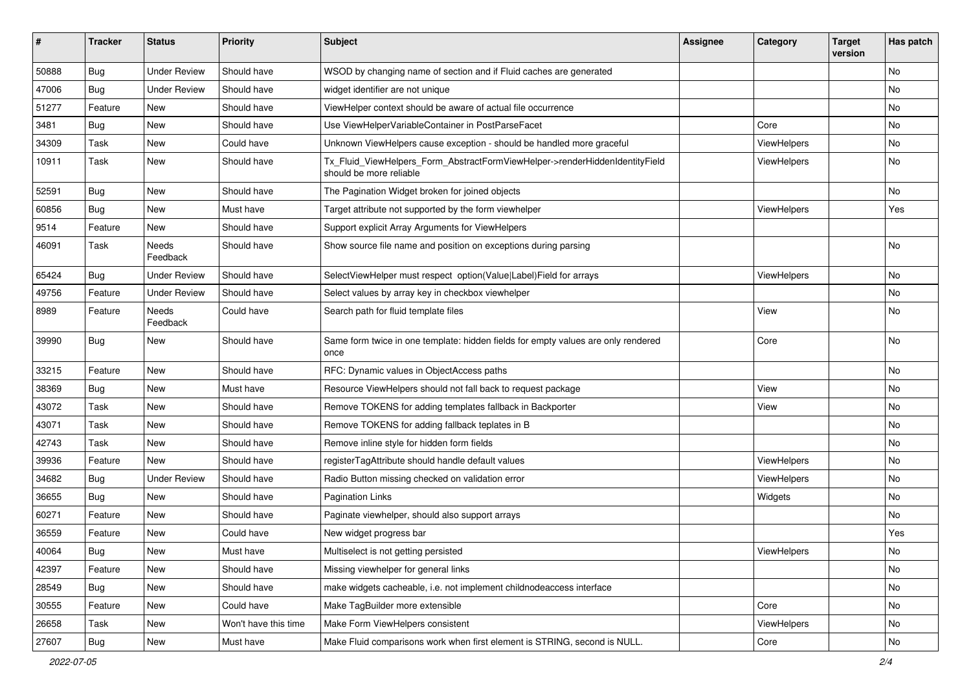| #     | <b>Tracker</b> | <b>Status</b>       | <b>Priority</b>      | <b>Subject</b>                                                                                         | Assignee | Category    | <b>Target</b><br>version | Has patch |
|-------|----------------|---------------------|----------------------|--------------------------------------------------------------------------------------------------------|----------|-------------|--------------------------|-----------|
| 50888 | Bug            | <b>Under Review</b> | Should have          | WSOD by changing name of section and if Fluid caches are generated                                     |          |             |                          | <b>No</b> |
| 47006 | Bug            | <b>Under Review</b> | Should have          | widget identifier are not unique                                                                       |          |             |                          | No        |
| 51277 | Feature        | New                 | Should have          | ViewHelper context should be aware of actual file occurrence                                           |          |             |                          | No        |
| 3481  | Bug            | <b>New</b>          | Should have          | Use ViewHelperVariableContainer in PostParseFacet                                                      |          | Core        |                          | No        |
| 34309 | Task           | New                 | Could have           | Unknown ViewHelpers cause exception - should be handled more graceful                                  |          | ViewHelpers |                          | No        |
| 10911 | Task           | New                 | Should have          | Tx_Fluid_ViewHelpers_Form_AbstractFormViewHelper->renderHiddenIdentityField<br>should be more reliable |          | ViewHelpers |                          | No        |
| 52591 | Bug            | New                 | Should have          | The Pagination Widget broken for joined objects                                                        |          |             |                          | No        |
| 60856 | Bug            | <b>New</b>          | Must have            | Target attribute not supported by the form viewhelper                                                  |          | ViewHelpers |                          | Yes       |
| 9514  | Feature        | New                 | Should have          | Support explicit Array Arguments for ViewHelpers                                                       |          |             |                          |           |
| 46091 | Task           | Needs<br>Feedback   | Should have          | Show source file name and position on exceptions during parsing                                        |          |             |                          | No        |
| 65424 | <b>Bug</b>     | <b>Under Review</b> | Should have          | SelectViewHelper must respect option(Value Label)Field for arrays                                      |          | ViewHelpers |                          | No        |
| 49756 | Feature        | <b>Under Review</b> | Should have          | Select values by array key in checkbox viewhelper                                                      |          |             |                          | <b>No</b> |
| 8989  | Feature        | Needs<br>Feedback   | Could have           | Search path for fluid template files                                                                   |          | View        |                          | No        |
| 39990 | Bug            | New                 | Should have          | Same form twice in one template: hidden fields for empty values are only rendered<br>once              |          | Core        |                          | No        |
| 33215 | Feature        | New                 | Should have          | RFC: Dynamic values in ObjectAccess paths                                                              |          |             |                          | No        |
| 38369 | Bug            | <b>New</b>          | Must have            | Resource ViewHelpers should not fall back to request package                                           |          | View        |                          | No        |
| 43072 | Task           | New                 | Should have          | Remove TOKENS for adding templates fallback in Backporter                                              |          | View        |                          | No        |
| 43071 | Task           | New                 | Should have          | Remove TOKENS for adding fallback teplates in B                                                        |          |             |                          | <b>No</b> |
| 42743 | Task           | New                 | Should have          | Remove inline style for hidden form fields                                                             |          |             |                          | No        |
| 39936 | Feature        | <b>New</b>          | Should have          | registerTagAttribute should handle default values                                                      |          | ViewHelpers |                          | No        |
| 34682 | Bug            | <b>Under Review</b> | Should have          | Radio Button missing checked on validation error                                                       |          | ViewHelpers |                          | No        |
| 36655 | Bug            | New                 | Should have          | <b>Pagination Links</b>                                                                                |          | Widgets     |                          | No        |
| 60271 | Feature        | New                 | Should have          | Paginate viewhelper, should also support arrays                                                        |          |             |                          | No        |
| 36559 | Feature        | New                 | Could have           | New widget progress bar                                                                                |          |             |                          | Yes       |
| 40064 | <b>Bug</b>     | New                 | Must have            | Multiselect is not getting persisted                                                                   |          | ViewHelpers |                          | No.       |
| 42397 | Feature        | New                 | Should have          | Missing viewhelper for general links                                                                   |          |             |                          | No        |
| 28549 | Bug            | New                 | Should have          | make widgets cacheable, i.e. not implement childnodeaccess interface                                   |          |             |                          | No        |
| 30555 | Feature        | New                 | Could have           | Make TagBuilder more extensible                                                                        |          | Core        |                          | No        |
| 26658 | Task           | New                 | Won't have this time | Make Form ViewHelpers consistent                                                                       |          | ViewHelpers |                          | No        |
| 27607 | <b>Bug</b>     | New                 | Must have            | Make Fluid comparisons work when first element is STRING, second is NULL.                              |          | Core        |                          | No        |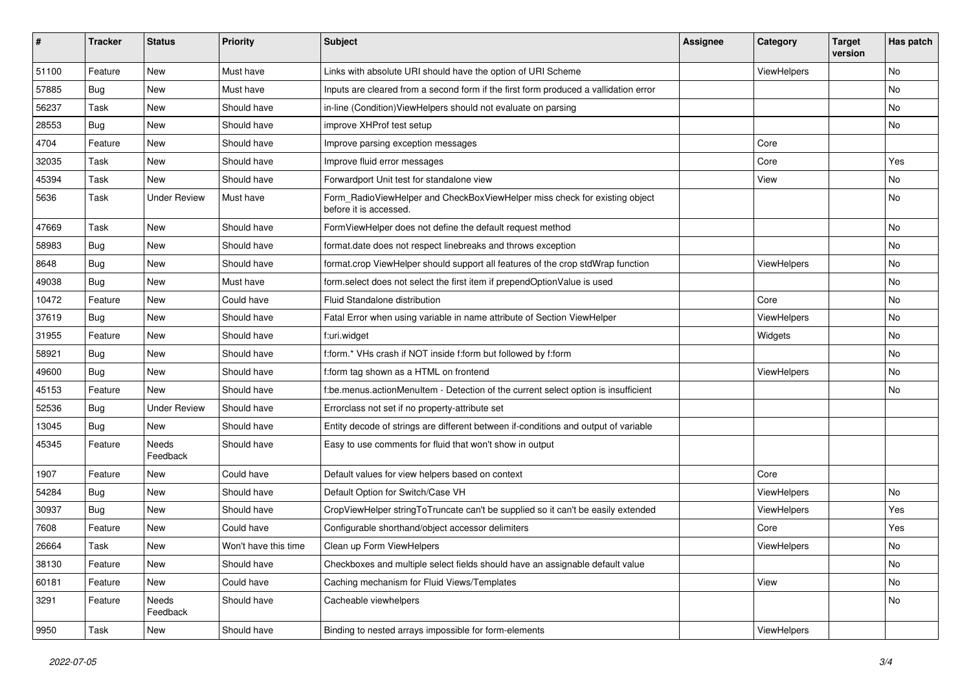| #     | <b>Tracker</b> | <b>Status</b>       | <b>Priority</b>      | <b>Subject</b>                                                                                       | <b>Assignee</b> | Category    | <b>Target</b><br>version | Has patch |
|-------|----------------|---------------------|----------------------|------------------------------------------------------------------------------------------------------|-----------------|-------------|--------------------------|-----------|
| 51100 | Feature        | New                 | Must have            | Links with absolute URI should have the option of URI Scheme                                         |                 | ViewHelpers |                          | <b>No</b> |
| 57885 | Bug            | New                 | Must have            | Inputs are cleared from a second form if the first form produced a vallidation error                 |                 |             |                          | No        |
| 56237 | Task           | New                 | Should have          | in-line (Condition) View Helpers should not evaluate on parsing                                      |                 |             |                          | No        |
| 28553 | Bug            | New                 | Should have          | improve XHProf test setup                                                                            |                 |             |                          | No        |
| 4704  | Feature        | New                 | Should have          | Improve parsing exception messages                                                                   |                 | Core        |                          |           |
| 32035 | Task           | New                 | Should have          | Improve fluid error messages                                                                         |                 | Core        |                          | Yes       |
| 45394 | Task           | New                 | Should have          | Forwardport Unit test for standalone view                                                            |                 | View        |                          | No        |
| 5636  | Task           | <b>Under Review</b> | Must have            | Form_RadioViewHelper and CheckBoxViewHelper miss check for existing object<br>before it is accessed. |                 |             |                          | No        |
| 47669 | Task           | New                 | Should have          | FormViewHelper does not define the default request method                                            |                 |             |                          | No        |
| 58983 | Bug            | New                 | Should have          | format.date does not respect linebreaks and throws exception                                         |                 |             |                          | <b>No</b> |
| 8648  | <b>Bug</b>     | New                 | Should have          | format.crop ViewHelper should support all features of the crop stdWrap function                      |                 | ViewHelpers |                          | No        |
| 49038 | Bug            | New                 | Must have            | form.select does not select the first item if prependOptionValue is used                             |                 |             |                          | No        |
| 10472 | Feature        | New                 | Could have           | Fluid Standalone distribution                                                                        |                 | Core        |                          | No        |
| 37619 | Bug            | New                 | Should have          | Fatal Error when using variable in name attribute of Section ViewHelper                              |                 | ViewHelpers |                          | No        |
| 31955 | Feature        | New                 | Should have          | f:uri.widget                                                                                         |                 | Widgets     |                          | No        |
| 58921 | Bug            | New                 | Should have          | f:form.* VHs crash if NOT inside f:form but followed by f:form                                       |                 |             |                          | No        |
| 49600 | Bug            | New                 | Should have          | f:form tag shown as a HTML on frontend                                                               |                 | ViewHelpers |                          | No        |
| 45153 | Feature        | <b>New</b>          | Should have          | f:be.menus.actionMenuItem - Detection of the current select option is insufficient                   |                 |             |                          | <b>No</b> |
| 52536 | Bug            | <b>Under Review</b> | Should have          | Errorclass not set if no property-attribute set                                                      |                 |             |                          |           |
| 13045 | Bug            | New                 | Should have          | Entity decode of strings are different between if-conditions and output of variable                  |                 |             |                          |           |
| 45345 | Feature        | Needs<br>Feedback   | Should have          | Easy to use comments for fluid that won't show in output                                             |                 |             |                          |           |
| 1907  | Feature        | New                 | Could have           | Default values for view helpers based on context                                                     |                 | Core        |                          |           |
| 54284 | Bug            | New                 | Should have          | Default Option for Switch/Case VH                                                                    |                 | ViewHelpers |                          | No        |
| 30937 | Bug            | New                 | Should have          | CropViewHelper stringToTruncate can't be supplied so it can't be easily extended                     |                 | ViewHelpers |                          | Yes       |
| 7608  | Feature        | New                 | Could have           | Configurable shorthand/object accessor delimiters                                                    |                 | Core        |                          | Yes       |
| 26664 | Task           | New                 | Won't have this time | Clean up Form ViewHelpers                                                                            |                 | ViewHelpers |                          | No        |
| 38130 | Feature        | New                 | Should have          | Checkboxes and multiple select fields should have an assignable default value                        |                 |             |                          | No        |
| 60181 | Feature        | New                 | Could have           | Caching mechanism for Fluid Views/Templates                                                          |                 | View        |                          | No        |
| 3291  | Feature        | Needs<br>Feedback   | Should have          | Cacheable viewhelpers                                                                                |                 |             |                          | No        |
| 9950  | Task           | New                 | Should have          | Binding to nested arrays impossible for form-elements                                                |                 | ViewHelpers |                          |           |